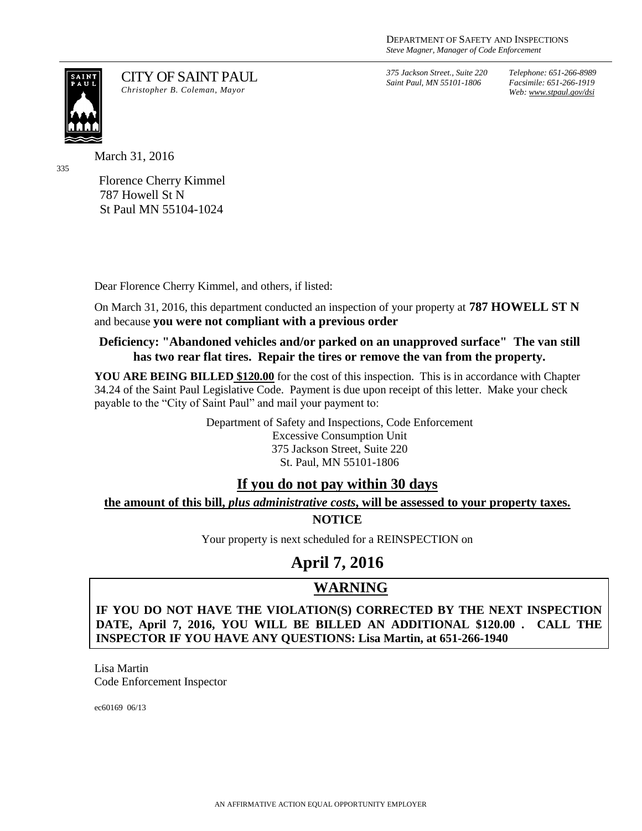*375 Jackson Street., Suite 220 Saint Paul, MN 55101-1806*

*Telephone: 651-266-8989 Facsimile: 651-266-1919 Web: www.stpaul.gov/dsi*

SAIN

CITY OF SAINT PAUL *Christopher B. Coleman, Mayor*

March 31, 2016

335

Florence Cherry Kimmel 787 Howell St N St Paul MN 55104-1024

Dear Florence Cherry Kimmel, and others, if listed:

On March 31, 2016, this department conducted an inspection of your property at **787 HOWELL ST N**  and because **you were not compliant with a previous order**

#### **Deficiency: "Abandoned vehicles and/or parked on an unapproved surface" The van still has two rear flat tires. Repair the tires or remove the van from the property.**

**YOU ARE BEING BILLED \$120.00** for the cost of this inspection. This is in accordance with Chapter 34.24 of the Saint Paul Legislative Code. Payment is due upon receipt of this letter. Make your check payable to the "City of Saint Paul" and mail your payment to:

> Department of Safety and Inspections, Code Enforcement Excessive Consumption Unit 375 Jackson Street, Suite 220 St. Paul, MN 55101-1806

## **If you do not pay within 30 days**

**the amount of this bill,** *plus administrative costs***, will be assessed to your property taxes.**

**NOTICE**

Your property is next scheduled for a REINSPECTION on

# **April 7, 2016**

## **WARNING**

**IF YOU DO NOT HAVE THE VIOLATION(S) CORRECTED BY THE NEXT INSPECTION DATE, April 7, 2016, YOU WILL BE BILLED AN ADDITIONAL \$120.00 . CALL THE INSPECTOR IF YOU HAVE ANY QUESTIONS: Lisa Martin, at 651-266-1940**

Lisa Martin Code Enforcement Inspector

ec60169 06/13